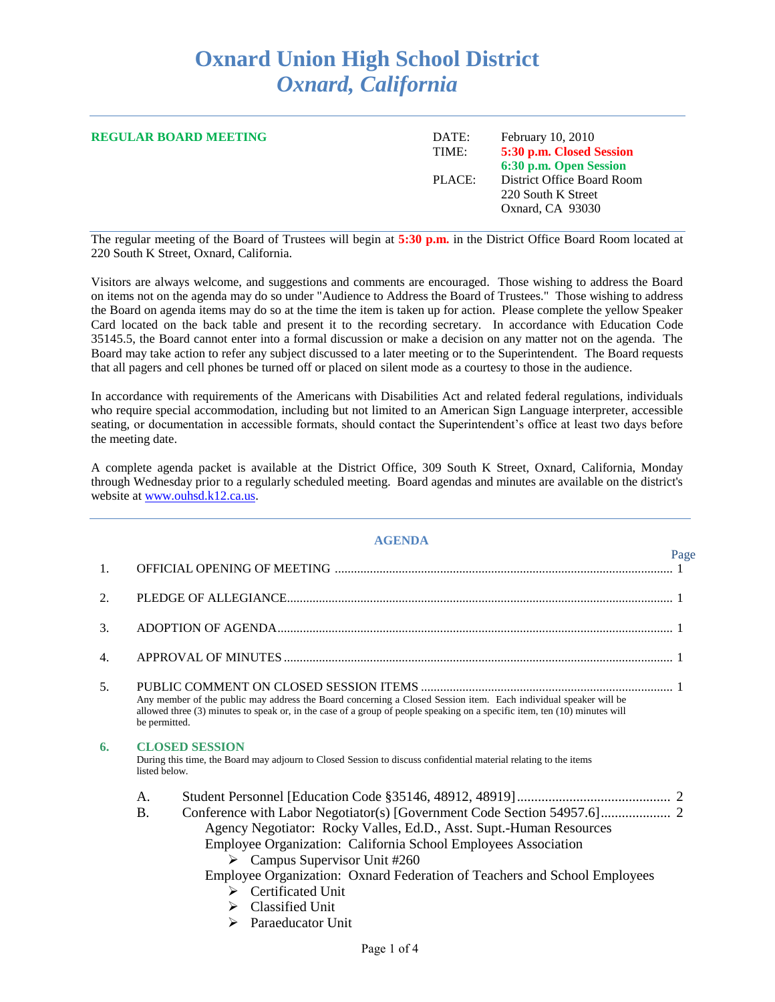## **Oxnard Union High School District** *Oxnard, California*

| <b>REGULAR BOARD MEETING</b> | DATE:<br>TIME: | <b>February 10, 2010</b><br>5:30 p.m. Closed Session<br>6:30 p.m. Open Session |
|------------------------------|----------------|--------------------------------------------------------------------------------|
|                              | PLACE:         | District Office Board Room<br>220 South K Street<br>Oxnard, CA 93030           |

The regular meeting of the Board of Trustees will begin at **5:30 p.m.** in the District Office Board Room located at 220 South K Street, Oxnard, California.

Visitors are always welcome, and suggestions and comments are encouraged. Those wishing to address the Board on items not on the agenda may do so under "Audience to Address the Board of Trustees." Those wishing to address the Board on agenda items may do so at the time the item is taken up for action. Please complete the yellow Speaker Card located on the back table and present it to the recording secretary. In accordance with Education Code 35145.5, the Board cannot enter into a formal discussion or make a decision on any matter not on the agenda. The Board may take action to refer any subject discussed to a later meeting or to the Superintendent. The Board requests that all pagers and cell phones be turned off or placed on silent mode as a courtesy to those in the audience.

In accordance with requirements of the Americans with Disabilities Act and related federal regulations, individuals who require special accommodation, including but not limited to an American Sign Language interpreter, accessible seating, or documentation in accessible formats, should contact the Superintendent's office at least two days before the meeting date.

A complete agenda packet is available at the District Office, 309 South K Street, Oxnard, California, Monday through Wednesday prior to a regularly scheduled meeting. Board agendas and minutes are available on the district's website at [www.ouhsd.k12.ca.us.](http://www.ouhsd.k12.ca.us/)

## **AGENDA**

|                |                                                                                                                                                                                                                                                                                                                                                                               | Page |
|----------------|-------------------------------------------------------------------------------------------------------------------------------------------------------------------------------------------------------------------------------------------------------------------------------------------------------------------------------------------------------------------------------|------|
| 1.             |                                                                                                                                                                                                                                                                                                                                                                               |      |
| 2.             |                                                                                                                                                                                                                                                                                                                                                                               |      |
| 3.             |                                                                                                                                                                                                                                                                                                                                                                               |      |
| 4.             |                                                                                                                                                                                                                                                                                                                                                                               |      |
| 5 <sub>1</sub> | Any member of the public may address the Board concerning a Closed Session item. Each individual speaker will be<br>allowed three (3) minutes to speak or, in the case of a group of people speaking on a specific item, ten (10) minutes will<br>be permitted.                                                                                                               |      |
| 6.             | <b>CLOSED SESSION</b><br>During this time, the Board may adjourn to Closed Session to discuss confidential material relating to the items<br>listed below.                                                                                                                                                                                                                    |      |
|                | A.<br>$\mathbf{B}$ .<br>Agency Negotiator: Rocky Valles, Ed.D., Asst. Supt.-Human Resources<br>Employee Organization: California School Employees Association<br>$\triangleright$ Campus Supervisor Unit #260<br>Employee Organization: Oxnard Federation of Teachers and School Employees<br>$\triangleright$ Certificated Unit<br>Classified Unit<br>⋗<br>Paraeducator Unit |      |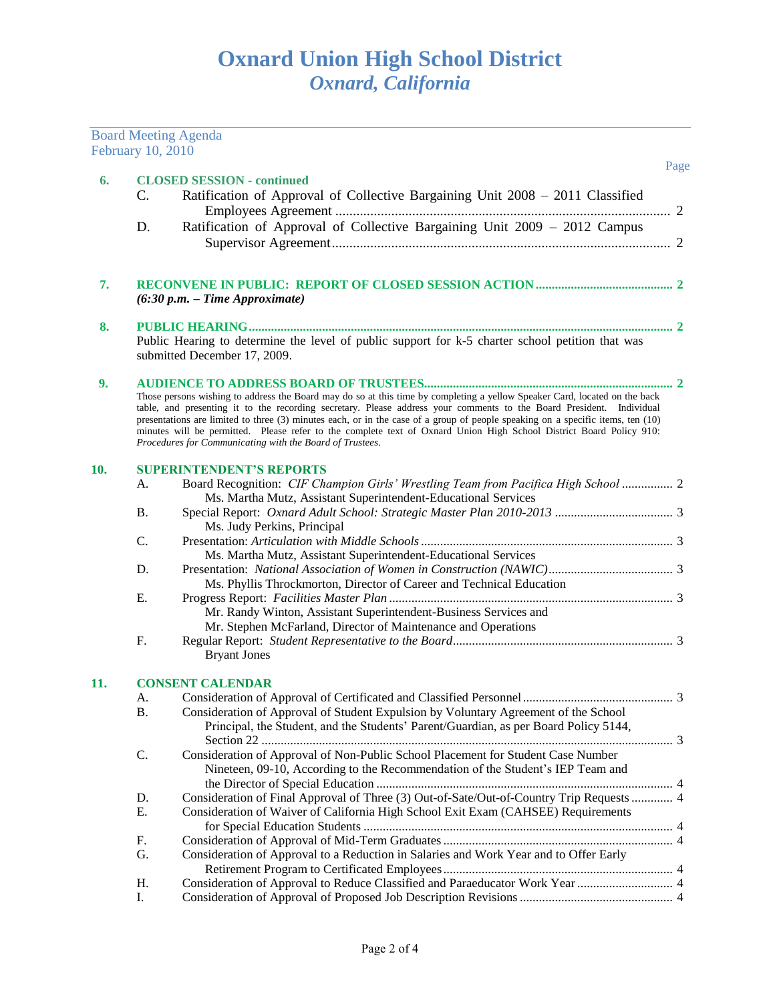|     | February 10, 2010 | <b>Board Meeting Agenda</b>                                                                                                                                                                                                                                                                                                                                                                                                                                                                                                                                              |      |
|-----|-------------------|--------------------------------------------------------------------------------------------------------------------------------------------------------------------------------------------------------------------------------------------------------------------------------------------------------------------------------------------------------------------------------------------------------------------------------------------------------------------------------------------------------------------------------------------------------------------------|------|
| 6.  | C.                | <b>CLOSED SESSION - continued</b><br>Ratification of Approval of Collective Bargaining Unit 2008 - 2011 Classified                                                                                                                                                                                                                                                                                                                                                                                                                                                       | Page |
|     |                   |                                                                                                                                                                                                                                                                                                                                                                                                                                                                                                                                                                          |      |
|     | D.                | Ratification of Approval of Collective Bargaining Unit 2009 - 2012 Campus                                                                                                                                                                                                                                                                                                                                                                                                                                                                                                |      |
| 7.  |                   | $(6:30 p.m. - Time Approximate)$                                                                                                                                                                                                                                                                                                                                                                                                                                                                                                                                         |      |
| 8.  |                   |                                                                                                                                                                                                                                                                                                                                                                                                                                                                                                                                                                          |      |
|     |                   | Public Hearing to determine the level of public support for k-5 charter school petition that was                                                                                                                                                                                                                                                                                                                                                                                                                                                                         |      |
|     |                   | submitted December 17, 2009.                                                                                                                                                                                                                                                                                                                                                                                                                                                                                                                                             |      |
| 9.  |                   |                                                                                                                                                                                                                                                                                                                                                                                                                                                                                                                                                                          |      |
|     |                   | Those persons wishing to address the Board may do so at this time by completing a yellow Speaker Card, located on the back<br>table, and presenting it to the recording secretary. Please address your comments to the Board President. Individual<br>presentations are limited to three (3) minutes each, or in the case of a group of people speaking on a specific items, ten (10)<br>minutes will be permitted. Please refer to the complete text of Oxnard Union High School District Board Policy 910:<br>Procedures for Communicating with the Board of Trustees. |      |
| 10. |                   | <b>SUPERINTENDENT'S REPORTS</b>                                                                                                                                                                                                                                                                                                                                                                                                                                                                                                                                          |      |
|     | А.                | Board Recognition: CIF Champion Girls' Wrestling Team from Pacifica High School  2                                                                                                                                                                                                                                                                                                                                                                                                                                                                                       |      |
|     |                   | Ms. Martha Mutz, Assistant Superintendent-Educational Services                                                                                                                                                                                                                                                                                                                                                                                                                                                                                                           |      |
|     | <b>B.</b>         | Ms. Judy Perkins, Principal                                                                                                                                                                                                                                                                                                                                                                                                                                                                                                                                              |      |
|     | C.                |                                                                                                                                                                                                                                                                                                                                                                                                                                                                                                                                                                          |      |
|     |                   | Ms. Martha Mutz, Assistant Superintendent-Educational Services                                                                                                                                                                                                                                                                                                                                                                                                                                                                                                           |      |
|     | D.                |                                                                                                                                                                                                                                                                                                                                                                                                                                                                                                                                                                          |      |
|     |                   | Ms. Phyllis Throckmorton, Director of Career and Technical Education                                                                                                                                                                                                                                                                                                                                                                                                                                                                                                     |      |
|     | Ε.                |                                                                                                                                                                                                                                                                                                                                                                                                                                                                                                                                                                          |      |
|     |                   | Mr. Randy Winton, Assistant Superintendent-Business Services and                                                                                                                                                                                                                                                                                                                                                                                                                                                                                                         |      |
|     |                   | Mr. Stephen McFarland, Director of Maintenance and Operations                                                                                                                                                                                                                                                                                                                                                                                                                                                                                                            |      |
|     | F.                | <b>Bryant Jones</b>                                                                                                                                                                                                                                                                                                                                                                                                                                                                                                                                                      |      |
| 11. |                   | <b>CONSENT CALENDAR</b>                                                                                                                                                                                                                                                                                                                                                                                                                                                                                                                                                  |      |
|     | A.                |                                                                                                                                                                                                                                                                                                                                                                                                                                                                                                                                                                          |      |
|     | <b>B.</b>         | Consideration of Approval of Student Expulsion by Voluntary Agreement of the School<br>Principal, the Student, and the Students' Parent/Guardian, as per Board Policy 5144,                                                                                                                                                                                                                                                                                                                                                                                              |      |
|     | C.                | Consideration of Approval of Non-Public School Placement for Student Case Number<br>Nineteen, 09-10, According to the Recommendation of the Student's IEP Team and                                                                                                                                                                                                                                                                                                                                                                                                       |      |
|     | D.                | Consideration of Final Approval of Three (3) Out-of-Sate/Out-of-Country Trip Requests  4                                                                                                                                                                                                                                                                                                                                                                                                                                                                                 |      |
|     | Ε.                | Consideration of Waiver of California High School Exit Exam (CAHSEE) Requirements                                                                                                                                                                                                                                                                                                                                                                                                                                                                                        |      |
|     | F.                |                                                                                                                                                                                                                                                                                                                                                                                                                                                                                                                                                                          |      |
|     | G.                | Consideration of Approval to a Reduction in Salaries and Work Year and to Offer Early                                                                                                                                                                                                                                                                                                                                                                                                                                                                                    |      |
|     | Η.                |                                                                                                                                                                                                                                                                                                                                                                                                                                                                                                                                                                          |      |
|     | I.                |                                                                                                                                                                                                                                                                                                                                                                                                                                                                                                                                                                          |      |
|     |                   |                                                                                                                                                                                                                                                                                                                                                                                                                                                                                                                                                                          |      |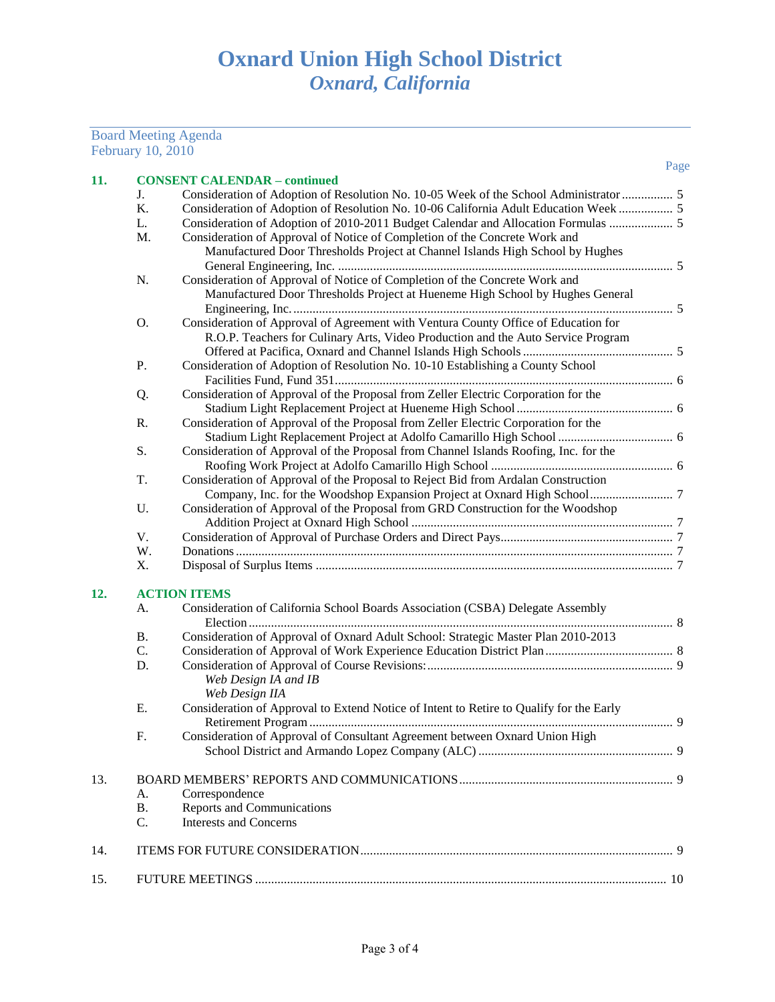## Board Meeting Agenda February 10, 2010

| 11. |           | <b>CONSENT CALENDAR - continued</b>                                                     |  |
|-----|-----------|-----------------------------------------------------------------------------------------|--|
|     | J.        | Consideration of Adoption of Resolution No. 10-05 Week of the School Administrator  5   |  |
|     | Κ.        | Consideration of Adoption of Resolution No. 10-06 California Adult Education Week  5    |  |
|     | L.        |                                                                                         |  |
|     | M.        | Consideration of Approval of Notice of Completion of the Concrete Work and              |  |
|     |           | Manufactured Door Thresholds Project at Channel Islands High School by Hughes           |  |
|     |           |                                                                                         |  |
|     | N.        | Consideration of Approval of Notice of Completion of the Concrete Work and              |  |
|     |           | Manufactured Door Thresholds Project at Hueneme High School by Hughes General           |  |
|     |           |                                                                                         |  |
|     | O.        | Consideration of Approval of Agreement with Ventura County Office of Education for      |  |
|     |           | R.O.P. Teachers for Culinary Arts, Video Production and the Auto Service Program        |  |
|     |           |                                                                                         |  |
|     | Ρ.        | Consideration of Adoption of Resolution No. 10-10 Establishing a County School          |  |
|     |           |                                                                                         |  |
|     | Q.        | Consideration of Approval of the Proposal from Zeller Electric Corporation for the      |  |
|     |           |                                                                                         |  |
|     | R.        | Consideration of Approval of the Proposal from Zeller Electric Corporation for the      |  |
|     |           |                                                                                         |  |
|     | S.        | Consideration of Approval of the Proposal from Channel Islands Roofing, Inc. for the    |  |
|     |           |                                                                                         |  |
|     | T.        | Consideration of Approval of the Proposal to Reject Bid from Ardalan Construction       |  |
|     |           | Company, Inc. for the Woodshop Expansion Project at Oxnard High School 7                |  |
|     | U.        | Consideration of Approval of the Proposal from GRD Construction for the Woodshop        |  |
|     |           |                                                                                         |  |
|     | V.        |                                                                                         |  |
|     | W.        |                                                                                         |  |
|     | Χ.        |                                                                                         |  |
| 12. |           | <b>ACTION ITEMS</b>                                                                     |  |
|     | А.        | Consideration of California School Boards Association (CSBA) Delegate Assembly          |  |
|     |           |                                                                                         |  |
|     | <b>B.</b> | Consideration of Approval of Oxnard Adult School: Strategic Master Plan 2010-2013       |  |
|     | C.        |                                                                                         |  |
|     | D.        |                                                                                         |  |
|     |           | Web Design IA and IB                                                                    |  |
|     |           | Web Design IIA                                                                          |  |
|     | Ε.        | Consideration of Approval to Extend Notice of Intent to Retire to Qualify for the Early |  |
|     |           |                                                                                         |  |
|     | F.        | Consideration of Approval of Consultant Agreement between Oxnard Union High             |  |
|     |           |                                                                                         |  |
|     |           |                                                                                         |  |
| 13. |           |                                                                                         |  |
|     | A.        | Correspondence                                                                          |  |
|     | Β.        | Reports and Communications                                                              |  |
|     | C.        | <b>Interests and Concerns</b>                                                           |  |
| 14. |           |                                                                                         |  |
|     |           |                                                                                         |  |
| 15. |           |                                                                                         |  |